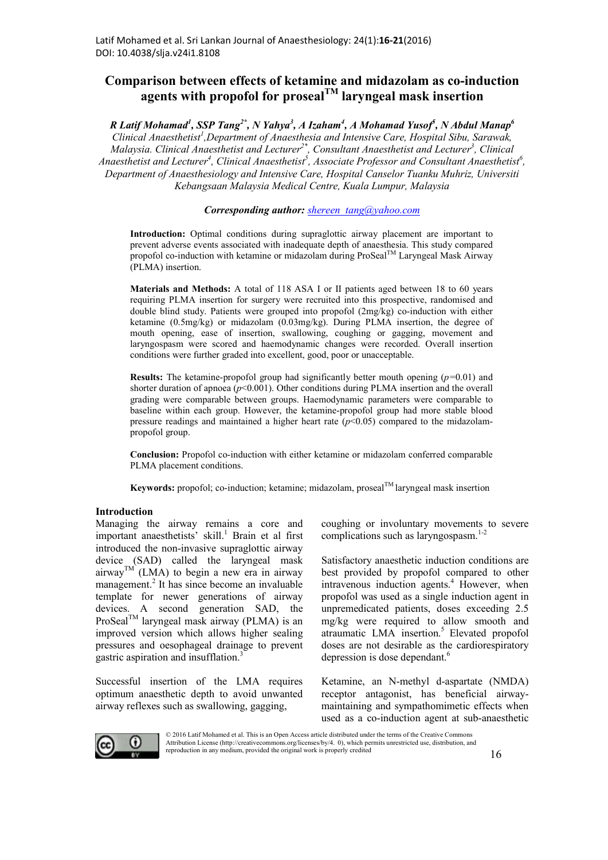# **Comparison between effects of ketamine and midazolam as co-induction agents with propofol for prosealTM laryngeal mask insertion**

*R Latif Mohamad1 , SSP Tang2\*, N Yahya3 , A Izaham<sup>4</sup> , A Mohamad Yusof5 , N Abdul Manap6* Clinical Anaesthetist<sup>1</sup>, Department of Anaesthesia and Intensive Care, Hospital Sibu, Sarawak, Malaysia. Clinical Anaesthetist and Lecturer<sup>2\*</sup>, Consultant Anaesthetist and Lecturer<sup>3</sup>, Clinical Anaesthetist and Lecturer<sup>4</sup>, Clinical Anaesthetist<sup>5</sup>, Associate Professor and Consultant Anaesthetist<sup>6</sup>, *Department of Anaesthesiology and Intensive Care, Hospital Canselor Tuanku Muhriz, Universiti Kebangsaan Malaysia Medical Centre, Kuala Lumpur, Malaysia*

*Corresponding author: shereen\_tang@yahoo.com*

Introduction: Optimal conditions during supraglottic airway placement are important to prevent adverse events associated with inadequate depth of anaesthesia. This study compared propofol co-induction with ketamine or midazolam during  $\text{ProSeal}^{\text{TM}}$  Laryngeal Mask Airway (PLMA) insertion.

**Materials and Methods:** A total of 118 ASA I or II patients aged between 18 to 60 years requiring PLMA insertion for surgery were recruited into this prospective, randomised and double blind study. Patients were grouped into propofol (2mg/kg) co-induction with either ketamine (0.5mg/kg) or midazolam (0.03mg/kg). During PLMA insertion, the degree of mouth opening, ease of insertion, swallowing, coughing or gagging, movement and laryngospasm were scored and haemodynamic changes were recorded. Overall insertion conditions were further graded into excellent, good, poor or unacceptable.

**Results:** The ketamine-propofol group had significantly better mouth opening (*p=*0.01) and shorter duration of apnoea ( $p$ <0.001). Other conditions during PLMA insertion and the overall grading were comparable between groups. Haemodynamic parameters were comparable to baseline within each group. However, the ketamine-propofol group had more stable blood pressure readings and maintained a higher heart rate  $(p<0.05)$  compared to the midazolampropofol group.

**Conclusion:** Propofol co-induction with either ketamine or midazolam conferred comparable PLMA placement conditions.

Keywords: propofol; co-induction; ketamine; midazolam, proseal<sup>TM</sup> laryngeal mask insertion

## **Introduction**

Managing the airway remains a core and important anaesthetists' skill.<sup>1</sup> Brain et al first introduced the non-invasive supraglottic airway device (SAD) called the laryngeal mask  $airway^{TM}$  (LMA) to begin a new era in airway management. <sup>2</sup> It has since become an invaluable template for newer generations of airway devices. A second generation SAD, the ProSeal<sup>TM</sup> laryngeal mask airway (PLMA) is an improved version which allows higher sealing pressures and oesophageal drainage to prevent gastric aspiration and insufflation.3

Successful insertion of the LMA requires optimum anaesthetic depth to avoid unwanted airway reflexes such as swallowing, gagging,

coughing or involuntary movements to severe complications such as laryngospasm. $1-2$ 

Satisfactory anaesthetic induction conditions are best provided by propofol compared to other intravenous induction agents.<sup>4</sup> However, when propofol was used as a single induction agent in unpremedicated patients, doses exceeding 2.5 mg/kg were required to allow smooth and atraumatic LMA insertion. <sup>5</sup> Elevated propofol doses are not desirable as the cardiorespiratory depression is dose dependant.<sup>6</sup>

Ketamine, an N-methyl d-aspartate (NMDA) receptor antagonist, has beneficial airwaymaintaining and sympathomimetic effects when used as a co-induction agent at sub-anaesthetic



© 2016 Latif Mohamed et al. This is an Open Access article distributed under the terms of the Creative Commons Attribution License (http://creativecommons.org/licenses/by/4. 0), which permits unrestricted use, distribution, and reproduction in any medium, provided the original work is properly credited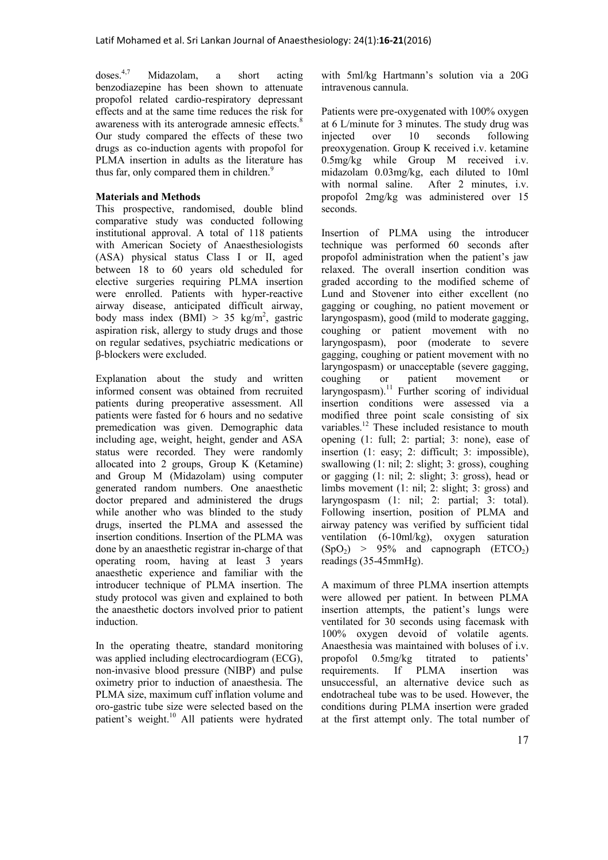doses  $4,7$ Midazolam, a short acting benzodiazepine has been shown to attenuate propofol related cardio-respiratory depressant effects and at the same time reduces the risk for awareness with its anterograde amnesic effects.<sup>8</sup> Our study compared the effects of these two drugs as co-induction agents with propofol for PLMA insertion in adults as the literature has thus far, only compared them in children.<sup>9</sup>

# **Materials and Methods**

This prospective, randomised, double blind comparative study was conducted following institutional approval. A total of 118 patients with American Society of Anaesthesiologists (ASA) physical status Class I or II, aged between 18 to 60 years old scheduled for elective surgeries requiring PLMA insertion were enrolled. Patients with hyper-reactive airway disease, anticipated difficult airway, body mass index  $(BMI) > 35$  kg/m<sup>2</sup>, gastric aspiration risk, allergy to study drugs and those on regular sedatives, psychiatric medications or β-blockers were excluded.

Explanation about the study and written informed consent was obtained from recruited patients during preoperative assessment. All patients were fasted for 6 hours and no sedative premedication was given. Demographic data including age, weight, height, gender and ASA status were recorded. They were randomly allocated into 2 groups, Group K (Ketamine) and Group M (Midazolam) using computer generated random numbers. One anaesthetic doctor prepared and administered the drugs while another who was blinded to the study drugs, inserted the PLMA and assessed the insertion conditions. Insertion of the PLMA was done by an anaesthetic registrar in-charge of that operating room, having at least 3 years anaesthetic experience and familiar with the introducer technique of PLMA insertion. The study protocol was given and explained to both the anaesthetic doctors involved prior to patient induction.

In the operating theatre, standard monitoring was applied including electrocardiogram (ECG), non-invasive blood pressure (NIBP) and pulse oximetry prior to induction of anaesthesia. The PLMA size, maximum cuff inflation volume and oro-gastric tube size were selected based on the patient's weight.<sup>10</sup> All patients were hydrated with 5ml/kg Hartmann's solution via a 20G intravenous cannula.

Patients were pre-oxygenated with 100% oxygen at 6 L/minute for 3 minutes. The study drug was injected over 10 seconds following preoxygenation. Group K received i.v. ketamine 0.5mg/kg while Group M received i.v. midazolam 0.03mg/kg, each diluted to 10ml with normal saline. After 2 minutes, i.v. propofol 2mg/kg was administered over 15 seconds.

Insertion of PLMA using the introducer technique was performed 60 seconds after propofol administration when the patient's jaw relaxed. The overall insertion condition was graded according to the modified scheme of Lund and Stovener into either excellent (no gagging or coughing, no patient movement or laryngospasm), good (mild to moderate gagging, coughing or patient movement with no laryngospasm), poor (moderate to severe gagging, coughing or patient movement with no laryngospasm) or unacceptable (severe gagging, coughing or patient movement or laryngospasm).<sup>11</sup> Further scoring of individual insertion conditions were assessed via a modified three point scale consisting of six variables.<sup>12</sup> These included resistance to mouth opening (1: full; 2: partial; 3: none), ease of insertion (1: easy; 2: difficult; 3: impossible), swallowing (1: nil; 2: slight; 3: gross), coughing or gagging (1: nil; 2: slight; 3: gross), head or limbs movement (1: nil; 2: slight; 3: gross) and laryngospasm (1: nil; 2: partial; 3: total). Following insertion, position of PLMA and airway patency was verified by sufficient tidal ventilation (6-10ml/kg), oxygen saturation  $(SpO<sub>2</sub>) > 95%$  and capnograph  $(ETCO<sub>2</sub>)$ readings (35-45mmHg).

A maximum of three PLMA insertion attempts were allowed per patient. In between PLMA insertion attempts, the patient's lungs were ventilated for 30 seconds using facemask with 100% oxygen devoid of volatile agents. Anaesthesia was maintained with boluses of i.v. propofol 0.5mg/kg titrated to patients' requirements. If PLMA insertion was unsuccessful, an alternative device such as endotracheal tube was to be used. However, the conditions during PLMA insertion were graded at the first attempt only. The total number of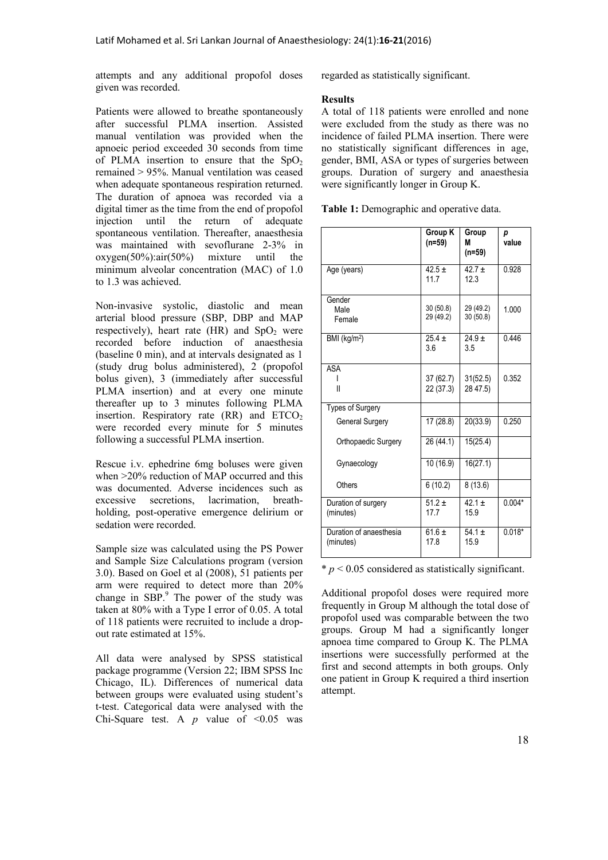attempts and any additional propofol doses given was recorded.

Patients were allowed to breathe spontaneously after successful PLMA insertion. Assisted manual ventilation was provided when the apnoeic period exceeded 30 seconds from time of PLMA insertion to ensure that the  $SpO<sub>2</sub>$ remained > 95%. Manual ventilation was ceased when adequate spontaneous respiration returned. The duration of apnoea was recorded via a digital timer as the time from the end of propofol injection until the return of adequate spontaneous ventilation. Thereafter, anaesthesia was maintained with sevoflurane 2-3% in oxygen(50%):air(50%) mixture until the minimum alveolar concentration (MAC) of 1.0 to 1.3 was achieved.

Non-invasive systolic, diastolic and mean arterial blood pressure (SBP, DBP and MAP respectively), heart rate  $(HR)$  and  $SpO<sub>2</sub>$  were recorded before induction of anaesthesia (baseline 0 min), and at intervals designated as 1 (study drug bolus administered), 2 (propofol bolus given), 3 (immediately after successful PLMA insertion) and at every one minute thereafter up to 3 minutes following PLMA insertion. Respiratory rate  $(RR)$  and  $ETCO<sub>2</sub>$ were recorded every minute for 5 minutes following a successful PLMA insertion.

Rescue i.v. ephedrine 6mg boluses were given when >20% reduction of MAP occurred and this was documented. Adverse incidences such as excessive secretions, lacrimation, breathholding, post-operative emergence delirium or sedation were recorded.

Sample size was calculated using the PS Power and Sample Size Calculations program (version 3.0). Based on Goel et al (2008), 51 patients per arm were required to detect more than 20% change in SBP.<sup>9</sup> The power of the study was taken at 80% with a Type I error of 0.05. A total of 118 patients were recruited to include a dropout rate estimated at 15%.

All data were analysed by SPSS statistical package programme (Version 22; IBM SPSS Inc Chicago, IL). Differences of numerical data between groups were evaluated using student's t-test. Categorical data were analysed with the Chi-Square test. A  $p$  value of  $\leq 0.05$  was regarded as statistically significant.

## **Results**

A total of 118 patients were enrolled and none were excluded from the study as there was no incidence of failed PLMA insertion. There were no statistically significant differences in age, gender, BMI, ASA or types of surgeries between groups. Duration of surgery and anaesthesia were significantly longer in Group K.

**Table 1:** Demographic and operative data.

|                                      | Group K<br>$(n=59)$    | Group<br>М<br>$(n=59)$ | р<br>value |
|--------------------------------------|------------------------|------------------------|------------|
| Age (years)                          | $42.5 \pm$<br>11.7     | $42.7 \pm$<br>12.3     | 0.928      |
| Gender<br>Male<br>Female             | 30(50.8)<br>29 (49.2)  | 29 (49.2)<br>30(50.8)  | 1.000      |
| BMI (kg/m <sup>2</sup> )             | $25.4 \pm$<br>3.6      | $24.9 +$<br>3.5        | 0.446      |
| <b>ASA</b><br>$\mathbf{I}$           | 37 (62.7)<br>22 (37.3) | 31(52.5)<br>28 47.5)   | 0.352      |
| <b>Types of Surgery</b>              |                        |                        |            |
| <b>General Surgery</b>               | 17(28.8)               | 20(33.9)               | 0.250      |
| Orthopaedic Surgery                  | 26 (44.1)              | 15(25.4)               |            |
| Gynaecology                          | 10 (16.9)              | 16(27.1)               |            |
| Others                               | 6(10.2)                | 8(13.6)                |            |
| Duration of surgery<br>(minutes)     | $51.2 \pm$<br>17.7     | $42.1 +$<br>15.9       | $0.004*$   |
| Duration of anaesthesia<br>(minutes) | $61.6 \pm$<br>17.8     | $54.1 \pm$<br>15.9     | $0.018*$   |

 $* p < 0.05$  considered as statistically significant.

Additional propofol doses were required more frequently in Group M although the total dose of propofol used was comparable between the two groups. Group M had a significantly longer apnoea time compared to Group K. The PLMA insertions were successfully performed at the first and second attempts in both groups. Only one patient in Group K required a third insertion attempt.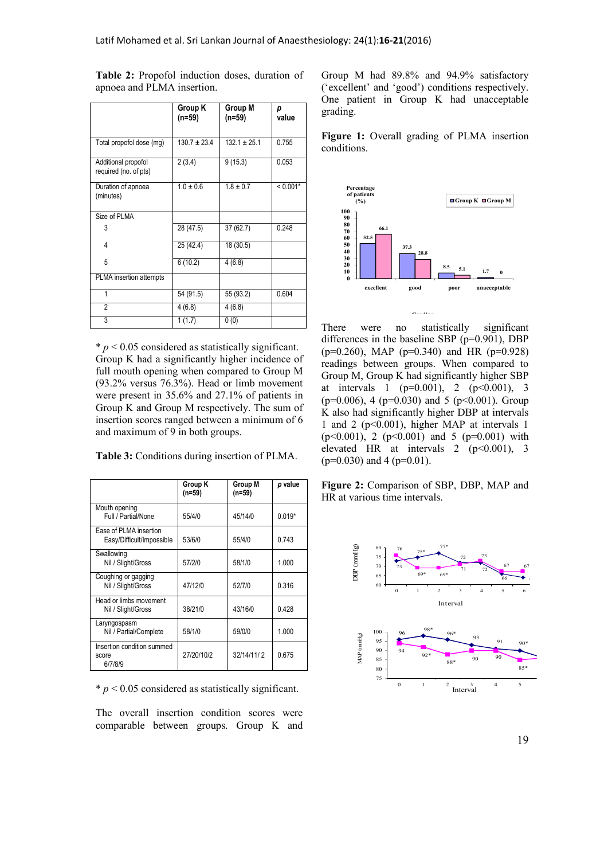|                                              | Group K<br>(n=59) | Group M<br>(n=59) | р<br>value |
|----------------------------------------------|-------------------|-------------------|------------|
| Total propofol dose (mg)                     | $130.7 \pm 23.4$  | $132.1 \pm 25.1$  | 0.755      |
| Additional propofol<br>required (no. of pts) | 2(3.4)            | 9(15.3)           | 0.053      |
| Duration of apnoea<br>(minutes)              | $1.0 \pm 0.6$     | $1.8 \pm 0.7$     | $< 0.001*$ |
| Size of PLMA                                 |                   |                   |            |
| 3                                            | 28 (47.5)         | 37 (62.7)         | 0.248      |
| 4                                            | 25 (42.4)         | 18 (30.5)         |            |
| 5                                            | 6(10.2)           | 4(6.8)            |            |
| PLMA insertion attempts                      |                   |                   |            |
| 1                                            | 54 (91.5)         | 55 (93.2)         | 0.604      |
| 2                                            | 4(6.8)            | 4(6.8)            |            |
| 3                                            | 1(1.7)            | 0(0)              |            |

**Table 2:** Propofol induction doses, duration of apnoea and PLMA insertion.

 $* p < 0.05$  considered as statistically significant. Group K had a significantly higher incidence of full mouth opening when compared to Group M (93.2% versus 76.3%). Head or limb movement were present in 35.6% and 27.1% of patients in Group K and Group M respectively. The sum of insertion scores ranged between a minimum of 6 and maximum of 9 in both groups.

**Table 3:** Conditions during insertion of PLMA.

|                                                     | Group K<br>$(n=59)$ | Group M<br>$(n=59)$ | p value  |
|-----------------------------------------------------|---------------------|---------------------|----------|
| Mouth opening<br>Full / Partial/None                | 55/4/0              | 45/14/0             | $0.019*$ |
| Ease of PLMA insertion<br>Easy/Difficult/Impossible | 53/6/0              | 55/4/0              | 0.743    |
| Swallowing<br>Nil / Slight/Gross                    | 57/2/0              | 58/1/0              | 1.000    |
| Coughing or gagging<br>Nil / Slight/Gross           | 47/12/0             | 52/7/0              | 0.316    |
| Head or limbs movement<br>Nil / Slight/Gross        | 38/21/0             | 43/16/0             | 0.428    |
| Laryngospasm<br>Nil / Partial/Complete              | 58/1/0              | 59/0/0              | 1.000    |
| Insertion condition summed<br>score<br>6/7/8/9      | 27/20/10/2          | 32/14/11/2          | 0.675    |

 $* p < 0.05$  considered as statistically significant.

The overall insertion condition scores were comparable between groups. Group K and Group M had 89.8% and 94.9% satisfactory ('excellent' and 'good') conditions respectively. One patient in Group K had unacceptable grading.

**Figure 1:** Overall grading of PLMA insertion conditions.



There were no statistically significant differences in the baseline SBP (p=0.901), DBP  $(p=0.260)$ , MAP  $(p=0.340)$  and HR  $(p=0.928)$ readings between groups. When compared to Group M, Group K had significantly higher SBP at intervals 1 ( $p=0.001$ ), 2 ( $p<0.001$ ), 3  $(p=0.006)$ , 4  $(p=0.030)$  and 5  $(p<0.001)$ . Group K also had significantly higher DBP at intervals 1 and 2 (p<0.001), higher MAP at intervals 1  $(p<0.001)$ , 2  $(p<0.001)$  and 5  $(p=0.001)$  with elevated HR at intervals 2  $(p<0.001)$ , 3  $(p=0.030)$  and 4 ( $p=0.01$ ).

**Figure 2:** Comparison of SBP, DBP, MAP and HR at various time intervals.



19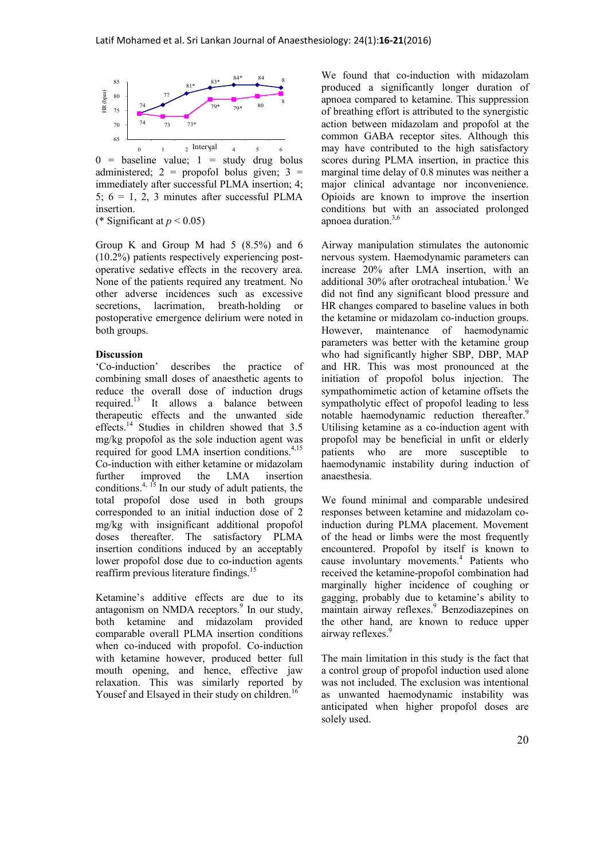

 $0 =$  baseline value;  $1 =$  study drug bolus administered;  $2 =$  propofol bolus given;  $3 =$ immediately after successful PLMA insertion; 4; 5;  $6 = 1, 2, 3$  minutes after successful PLMA insertion. (\* Significant at  $p < 0.05$ )

Group K and Group M had 5 (8.5%) and 6 (10.2%) patients respectively experiencing postoperative sedative effects in the recovery area. None of the patients required any treatment. No other adverse incidences such as excessive secretions, lacrimation, breath-holding or postoperative emergence delirium were noted in both groups.

## **Discussion**

'Co-induction' describes the practice of combining small doses of anaesthetic agents to reduce the overall dose of induction drugs required.<sup>13</sup> It allows a balance between therapeutic effects and the unwanted side effects. <sup>14</sup> Studies in children showed that 3.5 mg/kg propofol as the sole induction agent was required for good LMA insertion conditions. $4,15$ Co-induction with either ketamine or midazolam further improved the LMA insertion conditions. 4, 15 In our study of adult patients, the total propofol dose used in both groups corresponded to an initial induction dose of 2 mg/kg with insignificant additional propofol doses thereafter. The satisfactory PLMA insertion conditions induced by an acceptably lower propofol dose due to co-induction agents reaffirm previous literature findings.<sup>15</sup>

Ketamine's additive effects are due to its antagonism on NMDA receptors.<sup>9</sup> In our study, both ketamine and midazolam provided comparable overall PLMA insertion conditions when co-induced with propofol. Co-induction with ketamine however, produced better full mouth opening, and hence, effective jaw relaxation. This was similarly reported by Yousef and Elsayed in their study on children.<sup>1</sup>

We found that co-induction with midazolam produced a significantly longer duration of apnoea compared to ketamine. This suppression of breathing effort is attributed to the synergistic action between midazolam and propofol at the common GABA receptor sites. Although this may have contributed to the high satisfactory scores during PLMA insertion, in practice this marginal time delay of 0.8 minutes was neither a major clinical advantage nor inconvenience. Opioids are known to improve the insertion conditions but with an associated prolonged apnoea duration.3,6

Airway manipulation stimulates the autonomic nervous system. Haemodynamic parameters can increase 20% after LMA insertion, with an additional  $30\%$  after orotracheal intubation.<sup>1</sup> We did not find any significant blood pressure and HR changes compared to baseline values in both the ketamine or midazolam co-induction groups. However, maintenance of haemodynamic parameters was better with the ketamine group who had significantly higher SBP, DBP, MAP and HR. This was most pronounced at the initiation of propofol bolus injection. The sympathomimetic action of ketamine offsets the sympatholytic effect of propofol leading to less notable haemodynamic reduction thereafter.<sup>9</sup> Utilising ketamine as a co-induction agent with propofol may be beneficial in unfit or elderly patients who are more susceptible to haemodynamic instability during induction of anaesthesia.

We found minimal and comparable undesired responses between ketamine and midazolam coinduction during PLMA placement. Movement of the head or limbs were the most frequently encountered. Propofol by itself is known to cause involuntary movements. <sup>4</sup> Patients who received the ketamine-propofol combination had marginally higher incidence of coughing or gagging, probably due to ketamine's ability to maintain airway reflexes. <sup>9</sup> Benzodiazepines on the other hand, are known to reduce upper airway reflexes.<sup>9</sup>

The main limitation in this study is the fact that a control group of propofol induction used alone was not included. The exclusion was intentional as unwanted haemodynamic instability was anticipated when higher propofol doses are solely used.